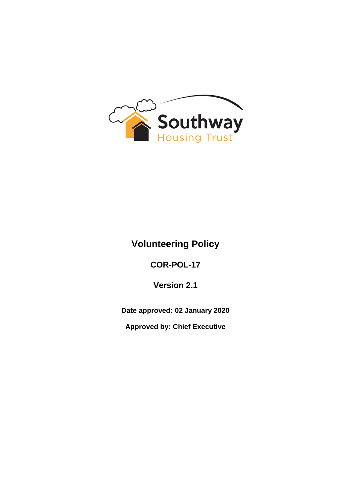

# **Volunteering Policy**

**COR-POL-17**

**Version 2.1**

**Date approved: 02 January 2020**

**Approved by: Chief Executive**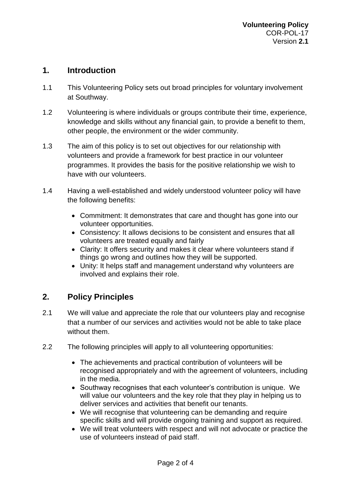#### **1. Introduction**

- 1.1 This Volunteering Policy sets out broad principles for voluntary involvement at Southway.
- 1.2 Volunteering is where individuals or groups contribute their time, experience, knowledge and skills without any financial gain, to provide a benefit to them, other people, the environment or the wider community.
- 1.3 The aim of this policy is to set out objectives for our relationship with volunteers and provide a framework for best practice in our volunteer programmes. It provides the basis for the positive relationship we wish to have with our volunteers.
- 1.4 Having a well-established and widely understood volunteer policy will have the following benefits:
	- Commitment: It demonstrates that care and thought has gone into our volunteer opportunities.
	- Consistency: It allows decisions to be consistent and ensures that all volunteers are treated equally and fairly
	- Clarity: It offers security and makes it clear where volunteers stand if things go wrong and outlines how they will be supported.
	- Unity: It helps staff and management understand why volunteers are involved and explains their role.

## **2. Policy Principles**

- 2.1 We will value and appreciate the role that our volunteers play and recognise that a number of our services and activities would not be able to take place without them.
- 2.2 The following principles will apply to all volunteering opportunities:
	- The achievements and practical contribution of volunteers will be recognised appropriately and with the agreement of volunteers, including in the media.
	- Southway recognises that each volunteer's contribution is unique. We will value our volunteers and the key role that they play in helping us to deliver services and activities that benefit our tenants.
	- We will recognise that volunteering can be demanding and require specific skills and will provide ongoing training and support as required.
	- We will treat volunteers with respect and will not advocate or practice the use of volunteers instead of paid staff.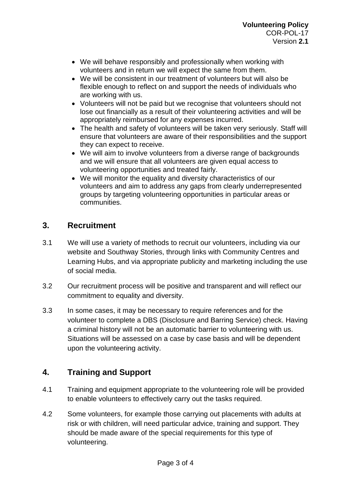- We will behave responsibly and professionally when working with volunteers and in return we will expect the same from them.
- We will be consistent in our treatment of volunteers but will also be flexible enough to reflect on and support the needs of individuals who are working with us.
- Volunteers will not be paid but we recognise that volunteers should not lose out financially as a result of their volunteering activities and will be appropriately reimbursed for any expenses incurred.
- The health and safety of volunteers will be taken very seriously. Staff will ensure that volunteers are aware of their responsibilities and the support they can expect to receive.
- We will aim to involve volunteers from a diverse range of backgrounds and we will ensure that all volunteers are given equal access to volunteering opportunities and treated fairly.
- We will monitor the equality and diversity characteristics of our volunteers and aim to address any gaps from clearly underrepresented groups by targeting volunteering opportunities in particular areas or communities.

## **3. Recruitment**

- 3.1 We will use a variety of methods to recruit our volunteers, including via our website and Southway Stories, through links with Community Centres and Learning Hubs, and via appropriate publicity and marketing including the use of social media.
- 3.2 Our recruitment process will be positive and transparent and will reflect our commitment to equality and diversity.
- 3.3 In some cases, it may be necessary to require references and for the volunteer to complete a DBS (Disclosure and Barring Service) check. Having a criminal history will not be an automatic barrier to volunteering with us. Situations will be assessed on a case by case basis and will be dependent upon the volunteering activity.

## **4. Training and Support**

- 4.1 Training and equipment appropriate to the volunteering role will be provided to enable volunteers to effectively carry out the tasks required.
- 4.2 Some volunteers, for example those carrying out placements with adults at risk or with children, will need particular advice, training and support. They should be made aware of the special requirements for this type of volunteering.